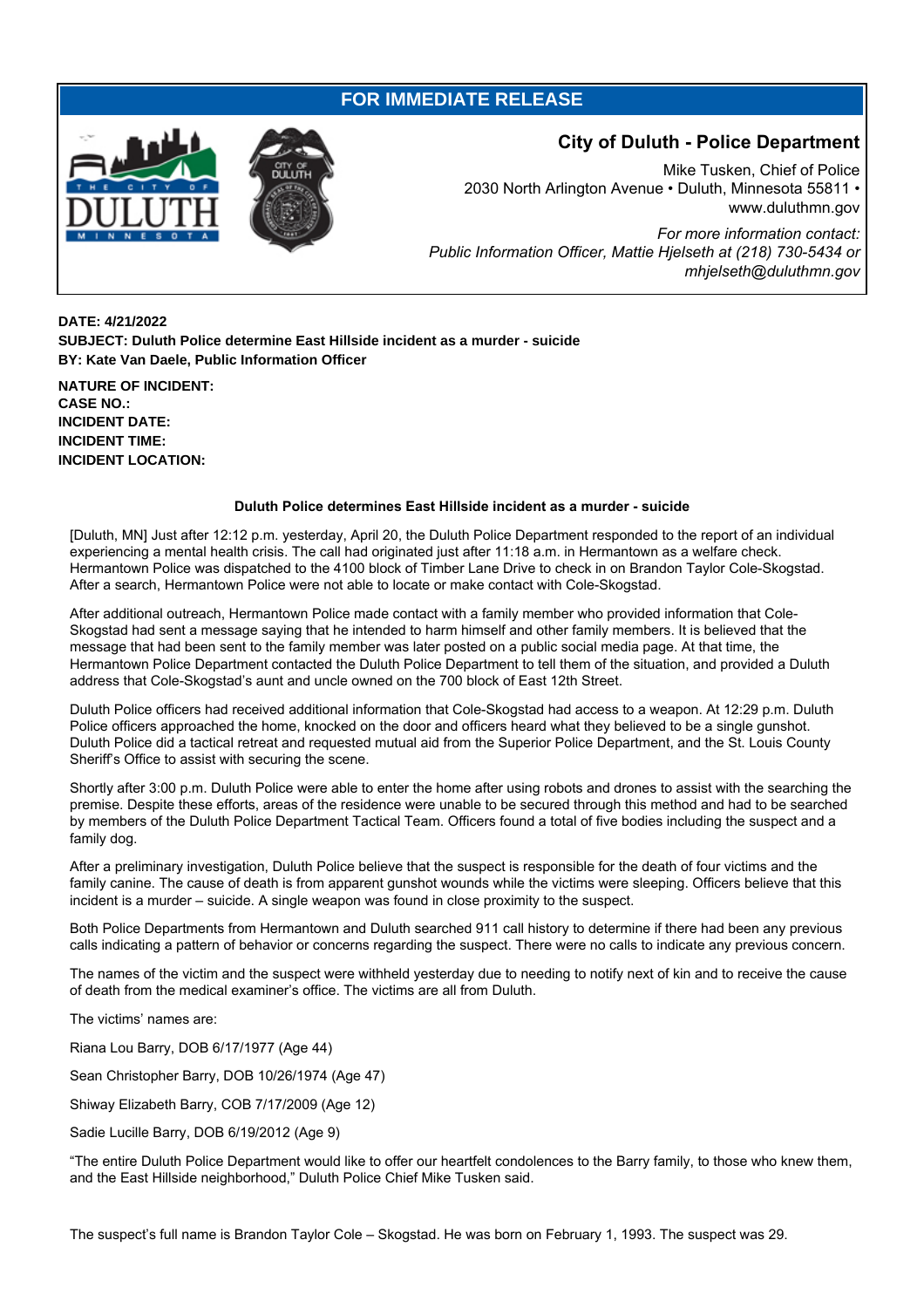## **FOR IMMEDIATE RELEASE**



## **City of Duluth - Police Department**

Mike Tusken, Chief of Police 2030 North Arlington Avenue • Duluth, Minnesota 55811 • www.duluthmn.gov *For more information contact: Public Information Officer, Mattie Hjelseth at (218) 730-5434 or mhjelseth@duluthmn.gov*

**DATE: 4/21/2022 SUBJECT: Duluth Police determine East Hillside incident as a murder - suicide BY: Kate Van Daele, Public Information Officer**

**NATURE OF INCIDENT: CASE NO.: INCIDENT DATE: INCIDENT TIME: INCIDENT LOCATION:**

## **Duluth Police determines East Hillside incident as a murder - suicide**

[Duluth, MN] Just after 12:12 p.m. yesterday, April 20, the Duluth Police Department responded to the report of an individual experiencing a mental health crisis. The call had originated just after 11:18 a.m. in Hermantown as a welfare check. Hermantown Police was dispatched to the 4100 block of Timber Lane Drive to check in on Brandon Taylor Cole-Skogstad. After a search, Hermantown Police were not able to locate or make contact with Cole-Skogstad.

After additional outreach, Hermantown Police made contact with a family member who provided information that Cole-Skogstad had sent a message saying that he intended to harm himself and other family members. It is believed that the message that had been sent to the family member was later posted on a public social media page. At that time, the Hermantown Police Department contacted the Duluth Police Department to tell them of the situation, and provided a Duluth address that Cole-Skogstad's aunt and uncle owned on the 700 block of East 12th Street.

Duluth Police officers had received additional information that Cole-Skogstad had access to a weapon. At 12:29 p.m. Duluth Police officers approached the home, knocked on the door and officers heard what they believed to be a single gunshot. Duluth Police did a tactical retreat and requested mutual aid from the Superior Police Department, and the St. Louis County Sheriff's Office to assist with securing the scene.

Shortly after 3:00 p.m. Duluth Police were able to enter the home after using robots and drones to assist with the searching the premise. Despite these efforts, areas of the residence were unable to be secured through this method and had to be searched by members of the Duluth Police Department Tactical Team. Officers found a total of five bodies including the suspect and a family dog.

After a preliminary investigation, Duluth Police believe that the suspect is responsible for the death of four victims and the family canine. The cause of death is from apparent gunshot wounds while the victims were sleeping. Officers believe that this incident is a murder – suicide. A single weapon was found in close proximity to the suspect.

Both Police Departments from Hermantown and Duluth searched 911 call history to determine if there had been any previous calls indicating a pattern of behavior or concerns regarding the suspect. There were no calls to indicate any previous concern.

The names of the victim and the suspect were withheld yesterday due to needing to notify next of kin and to receive the cause of death from the medical examiner's office. The victims are all from Duluth.

The victims' names are:

Riana Lou Barry, DOB 6/17/1977 (Age 44)

Sean Christopher Barry, DOB 10/26/1974 (Age 47)

Shiway Elizabeth Barry, COB 7/17/2009 (Age 12)

Sadie Lucille Barry, DOB 6/19/2012 (Age 9)

"The entire Duluth Police Department would like to offer our heartfelt condolences to the Barry family, to those who knew them, and the East Hillside neighborhood," Duluth Police Chief Mike Tusken said.

The suspect's full name is Brandon Taylor Cole – Skogstad. He was born on February 1, 1993. The suspect was 29.